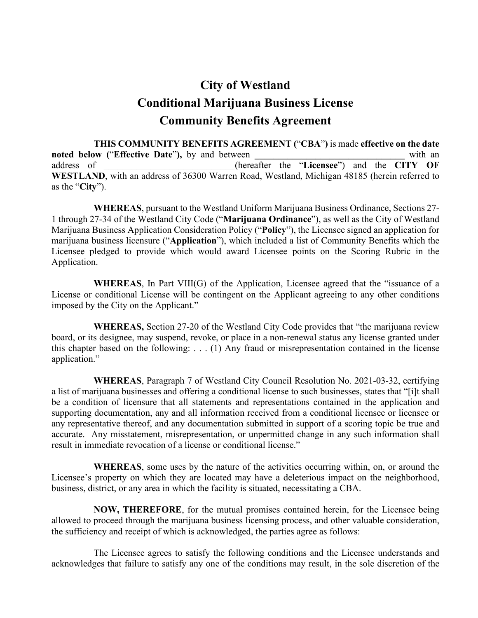# **City of Westland Conditional Marijuana Business License Community Benefits Agreement**

**THIS COMMUNITY BENEFITS AGREEMENT (**"**CBA**"**)** is made **effective on the date noted below ("Effective Date"),** by and between *with an* address of \_\_\_\_\_\_\_\_\_\_\_\_\_\_\_\_\_\_\_\_\_\_\_\_\_\_\_\_(hereafter the "**Licensee**") and the **CITY OF**  WESTLAND, with an address of 36300 Warren Road, Westland, Michigan 48185 (herein referred to as the "**City**").

**WHEREAS**, pursuant to the Westland Uniform Marijuana Business Ordinance, Sections 27- 1 through 27-34 of the Westland City Code ("**Marijuana Ordinance**"), as well as the City of Westland Marijuana Business Application Consideration Policy ("**Policy**"), the Licensee signed an application for marijuana business licensure ("**Application**"), which included a list of Community Benefits which the Licensee pledged to provide which would award Licensee points on the Scoring Rubric in the Application.

**WHEREAS**, In Part VIII(G) of the Application, Licensee agreed that the "issuance of a License or conditional License will be contingent on the Applicant agreeing to any other conditions imposed by the City on the Applicant."

**WHEREAS,** Section 27-20 of the Westland City Code provides that "the marijuana review board, or its designee, may suspend, revoke, or place in a non-renewal status any license granted under this chapter based on the following: . . . (1) Any fraud or misrepresentation contained in the license application."

**WHEREAS**, Paragraph 7 of Westland City Council Resolution No. 2021-03-32, certifying a list of marijuana businesses and offering a conditional license to such businesses, states that "[i]t shall be a condition of licensure that all statements and representations contained in the application and supporting documentation, any and all information received from a conditional licensee or licensee or any representative thereof, and any documentation submitted in support of a scoring topic be true and accurate. Any misstatement, misrepresentation, or unpermitted change in any such information shall result in immediate revocation of a license or conditional license."

**WHEREAS**, some uses by the nature of the activities occurring within, on, or around the Licensee's property on which they are located may have a deleterious impact on the neighborhood, business, district, or any area in which the facility is situated, necessitating a CBA.

**NOW, THEREFORE**, for the mutual promises contained herein, for the Licensee being allowed to proceed through the marijuana business licensing process, and other valuable consideration, the sufficiency and receipt of which is acknowledged, the parties agree as follows:

The Licensee agrees to satisfy the following conditions and the Licensee understands and acknowledges that failure to satisfy any one of the conditions may result, in the sole discretion of the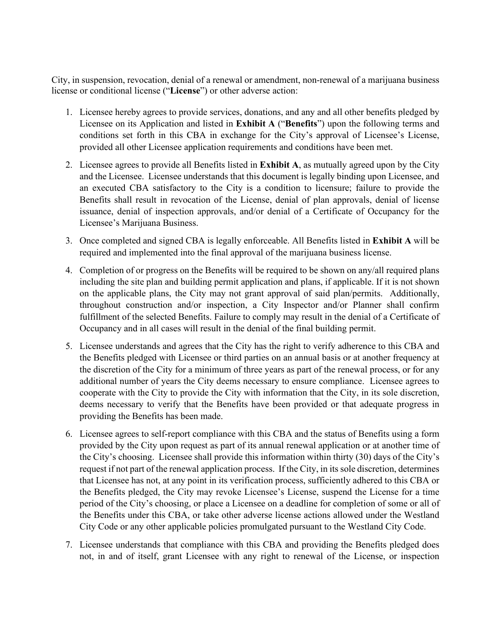City, in suspension, revocation, denial of a renewal or amendment, non-renewal of a marijuana business license or conditional license ("**License**") or other adverse action:

- 1. Licensee hereby agrees to provide services, donations, and any and all other benefits pledged by Licensee on its Application and listed in **Exhibit A** ("**Benefits**") upon the following terms and conditions set forth in this CBA in exchange for the City's approval of Licensee's License, provided all other Licensee application requirements and conditions have been met.
- 2. Licensee agrees to provide all Benefits listed in **Exhibit A**, as mutually agreed upon by the City and the Licensee. Licensee understands that this document is legally binding upon Licensee, and an executed CBA satisfactory to the City is a condition to licensure; failure to provide the Benefits shall result in revocation of the License, denial of plan approvals, denial of license issuance, denial of inspection approvals, and/or denial of a Certificate of Occupancy for the Licensee's Marijuana Business.
- 3. Once completed and signed CBA is legally enforceable. All Benefits listed in **Exhibit A** will be required and implemented into the final approval of the marijuana business license.
- 4. Completion of or progress on the Benefits will be required to be shown on any/all required plans including the site plan and building permit application and plans, if applicable. If it is not shown on the applicable plans, the City may not grant approval of said plan/permits. Additionally, throughout construction and/or inspection, a City Inspector and/or Planner shall confirm fulfillment of the selected Benefits. Failure to comply may result in the denial of a Certificate of Occupancy and in all cases will result in the denial of the final building permit.
- 5. Licensee understands and agrees that the City has the right to verify adherence to this CBA and the Benefits pledged with Licensee or third parties on an annual basis or at another frequency at the discretion of the City for a minimum of three years as part of the renewal process, or for any additional number of years the City deems necessary to ensure compliance. Licensee agrees to cooperate with the City to provide the City with information that the City, in its sole discretion, deems necessary to verify that the Benefits have been provided or that adequate progress in providing the Benefits has been made.
- 6. Licensee agrees to self-report compliance with this CBA and the status of Benefits using a form provided by the City upon request as part of its annual renewal application or at another time of the City's choosing. Licensee shall provide this information within thirty (30) days of the City's request if not part of the renewal application process. If the City, in its sole discretion, determines that Licensee has not, at any point in its verification process, sufficiently adhered to this CBA or the Benefits pledged, the City may revoke Licensee's License, suspend the License for a time period of the City's choosing, or place a Licensee on a deadline for completion of some or all of the Benefits under this CBA, or take other adverse license actions allowed under the Westland City Code or any other applicable policies promulgated pursuant to the Westland City Code.
- 7. Licensee understands that compliance with this CBA and providing the Benefits pledged does not, in and of itself, grant Licensee with any right to renewal of the License, or inspection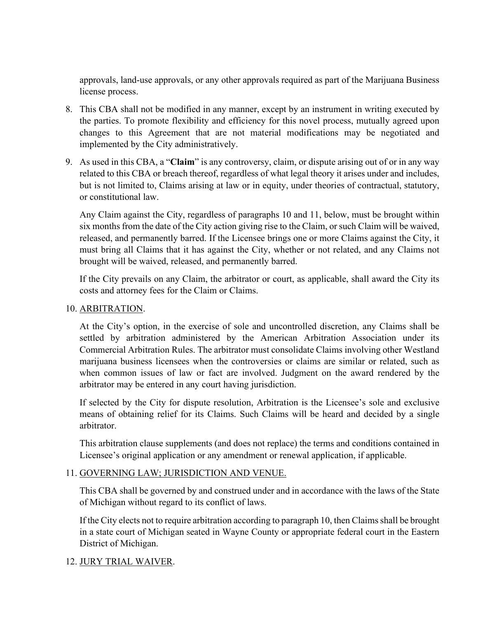approvals, land-use approvals, or any other approvals required as part of the Marijuana Business license process.

- 8. This CBA shall not be modified in any manner, except by an instrument in writing executed by the parties. To promote flexibility and efficiency for this novel process, mutually agreed upon changes to this Agreement that are not material modifications may be negotiated and implemented by the City administratively.
- 9. As used in this CBA, a "**Claim**" is any controversy, claim, or dispute arising out of or in any way related to this CBA or breach thereof, regardless of what legal theory it arises under and includes, but is not limited to, Claims arising at law or in equity, under theories of contractual, statutory, or constitutional law.

Any Claim against the City, regardless of paragraphs 10 and 11, below, must be brought within six months from the date of the City action giving rise to the Claim, or such Claim will be waived, released, and permanently barred. If the Licensee brings one or more Claims against the City, it must bring all Claims that it has against the City, whether or not related, and any Claims not brought will be waived, released, and permanently barred.

If the City prevails on any Claim, the arbitrator or court, as applicable, shall award the City its costs and attorney fees for the Claim or Claims.

#### 10. ARBITRATION.

At the City's option, in the exercise of sole and uncontrolled discretion, any Claims shall be settled by arbitration administered by the American Arbitration Association under its Commercial Arbitration Rules. The arbitrator must consolidate Claims involving other Westland marijuana business licensees when the controversies or claims are similar or related, such as when common issues of law or fact are involved. Judgment on the award rendered by the arbitrator may be entered in any court having jurisdiction.

If selected by the City for dispute resolution, Arbitration is the Licensee's sole and exclusive means of obtaining relief for its Claims. Such Claims will be heard and decided by a single arbitrator.

This arbitration clause supplements (and does not replace) the terms and conditions contained in Licensee's original application or any amendment or renewal application, if applicable.

#### 11. GOVERNING LAW; JURISDICTION AND VENUE.

This CBA shall be governed by and construed under and in accordance with the laws of the State of Michigan without regard to its conflict of laws.

If the City elects not to require arbitration according to paragraph 10, then Claims shall be brought in a state court of Michigan seated in Wayne County or appropriate federal court in the Eastern District of Michigan.

### 12. JURY TRIAL WAIVER.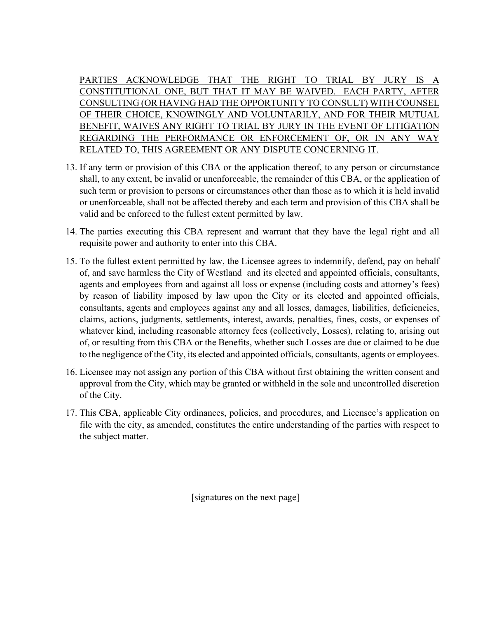PARTIES ACKNOWLEDGE THAT THE RIGHT TO TRIAL BY JURY IS A CONSTITUTIONAL ONE, BUT THAT IT MAY BE WAIVED. EACH PARTY, AFTER CONSULTING (OR HAVING HAD THE OPPORTUNITY TO CONSULT) WITH COUNSEL OF THEIR CHOICE, KNOWINGLY AND VOLUNTARILY, AND FOR THEIR MUTUAL BENEFIT, WAIVES ANY RIGHT TO TRIAL BY JURY IN THE EVENT OF LITIGATION REGARDING THE PERFORMANCE OR ENFORCEMENT OF, OR IN ANY WAY RELATED TO, THIS AGREEMENT OR ANY DISPUTE CONCERNING IT.

- 13. If any term or provision of this CBA or the application thereof, to any person or circumstance shall, to any extent, be invalid or unenforceable, the remainder of this CBA, or the application of such term or provision to persons or circumstances other than those as to which it is held invalid or unenforceable, shall not be affected thereby and each term and provision of this CBA shall be valid and be enforced to the fullest extent permitted by law.
- 14. The parties executing this CBA represent and warrant that they have the legal right and all requisite power and authority to enter into this CBA.
- 15. To the fullest extent permitted by law, the Licensee agrees to indemnify, defend, pay on behalf of, and save harmless the City of Westland and its elected and appointed officials, consultants, agents and employees from and against all loss or expense (including costs and attorney's fees) by reason of liability imposed by law upon the City or its elected and appointed officials, consultants, agents and employees against any and all losses, damages, liabilities, deficiencies, claims, actions, judgments, settlements, interest, awards, penalties, fines, costs, or expenses of whatever kind, including reasonable attorney fees (collectively, Losses), relating to, arising out of, or resulting from this CBA or the Benefits, whether such Losses are due or claimed to be due to the negligence of the City, its elected and appointed officials, consultants, agents or employees.
- 16. Licensee may not assign any portion of this CBA without first obtaining the written consent and approval from the City, which may be granted or withheld in the sole and uncontrolled discretion of the City.
- 17. This CBA, applicable City ordinances, policies, and procedures, and Licensee's application on file with the city, as amended, constitutes the entire understanding of the parties with respect to the subject matter.

[signatures on the next page]